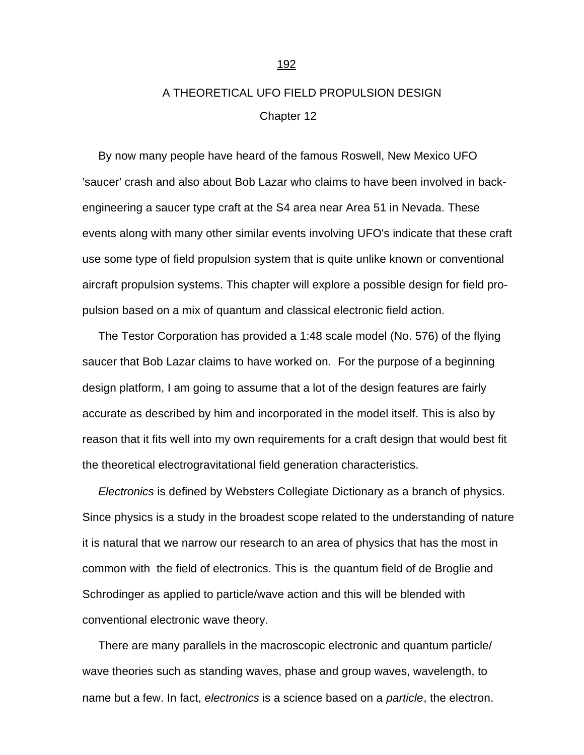## A THEORETICAL UFO FIELD PROPULSION DESIGN Chapter 12

<span id="page-0-0"></span> By now many people have heard of the famous Roswell, New Mexico UFO 'saucer' crash and also about Bob Lazar who claims to have been involved in backengineering a saucer type craft at the S4 area near Area 51 in Nevada. These events along with many other similar events involving UFO's indicate that these craft use some type of field propulsion system that is quite unlike known or conventional aircraft propulsion systems. This chapter will explore a possible design for field propulsion based on a mix of quantum and classical electronic field action.

 The Testor Corporation has provided a 1:48 scale model (No. 576) of the flying saucer that Bob Lazar claims to have worked on. For the purpose of a beginning design platform, I am going to assume that a lot of the design features are fairly accurate as described by him and incorporated in the model itself. This is also by reason that it fits well into my own requirements for a craft design that would best fit the theoretical electrogravitational field generation characteristics.

 *Electronics* is defined by Websters Collegiate Dictionary as a branch of physics. Since physics is a study in the broadest scope related to the understanding of nature it is natural that we narrow our research to an area of physics that has the most in common with the field of electronics. This is the quantum field of de Broglie and Schrodinger as applied to particle/wave action and this will be blended with conventional electronic wave theory.

 There are many parallels in the macroscopic electronic and quantum particle/ wave theories such as standing waves, phase and group waves, wavelength, to name but a few. In fact, *electronics* is a science based on a *particle*, the electron.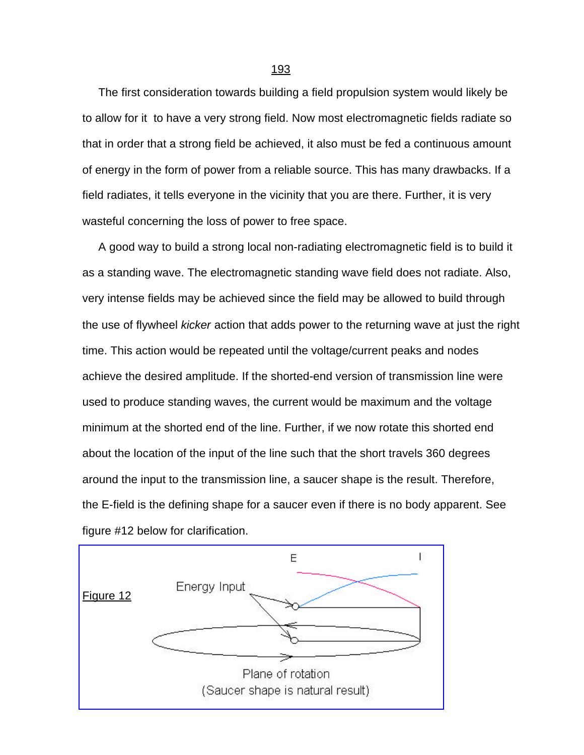The first consideration towards building a field propulsion system would likely be to allow for it to have a very strong field. Now most electromagnetic fields radiate so that in order that a strong field be achieved, it also must be fed a continuous amount of energy in the form of power from a reliable source. This has many drawbacks. If a field radiates, it tells everyone in the vicinity that you are there. Further, it is very wasteful concerning the loss of power to free space.

 A good way to build a strong local non-radiating electromagnetic field is to build it as a standing wave. The electromagnetic standing wave field does not radiate. Also, very intense fields may be achieved since the field may be allowed to build through the use of flywheel *kicker* action that adds power to the returning wave at just the right time. This action would be repeated until the voltage/current peaks and nodes achieve the desired amplitude. If the shorted-end version of transmission line were used to produce standing waves, the current would be maximum and the voltage minimum at the shorted end of the line. Further, if we now rotate this shorted end about the location of the input of the line such that the short travels 360 degrees around the input to the transmission line, a saucer shape is the result. Therefore, the E-field is the defining shape for a saucer even if there is no body apparent. See figure #12 below for clarification.



(Saucer shape is natural result)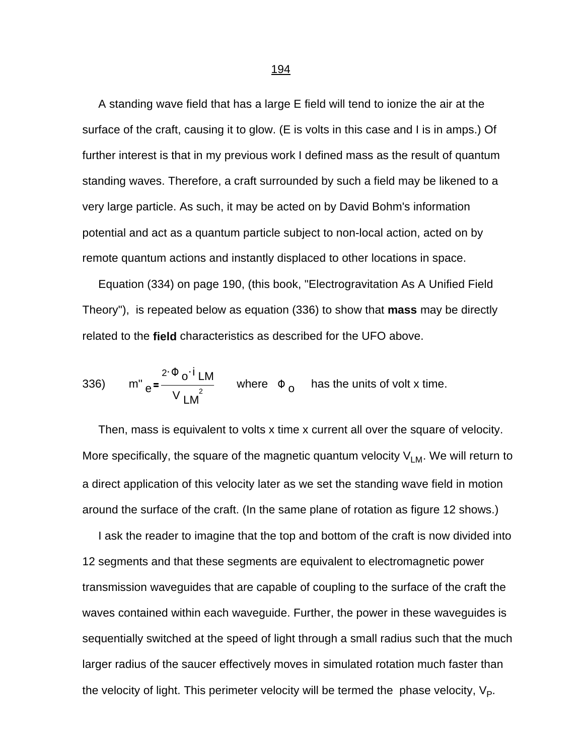A standing wave field that has a large E field will tend to ionize the air at the surface of the craft, causing it to glow. (E is volts in this case and I is in amps.) Of further interest is that in my previous work I defined mass as the result of quantum standing waves. Therefore, a craft surrounded by such a field may be likened to a very large particle. As such, it may be acted on by David Bohm's information potential and act as a quantum particle subject to non-local action, acted on by remote quantum actions and instantly displaced to other locations in space.

 Equation (334) on page 190, (this book, "Electrogravitation As A Unified Field Theory"), is repeated below as equation (336) to show that **mass** may be directly related to the **field** characteristics as described for the UFO above.

336) 
$$
m'' = \frac{2 \cdot \Phi_0 \cdot i \cdot LM}{V_{LM}^2}
$$
 where  $\Phi_0$  has the units of volt x time.

 Then, mass is equivalent to volts x time x current all over the square of velocity. More specifically, the square of the magnetic quantum velocity  $V_{LM}$ . We will return to a direct application of this velocity later as we set the standing wave field in motion around the surface of the craft. (In the same plane of rotation as figure 12 shows.)

 I ask the reader to imagine that the top and bottom of the craft is now divided into 12 segments and that these segments are equivalent to electromagnetic power transmission waveguides that are capable of coupling to the surface of the craft the waves contained within each waveguide. Further, the power in these waveguides is sequentially switched at the speed of light through a small radius such that the much larger radius of the saucer effectively moves in simulated rotation much faster than the velocity of light. This perimeter velocity will be termed the phase velocity,  $\vee_{\mathsf{P}}$ .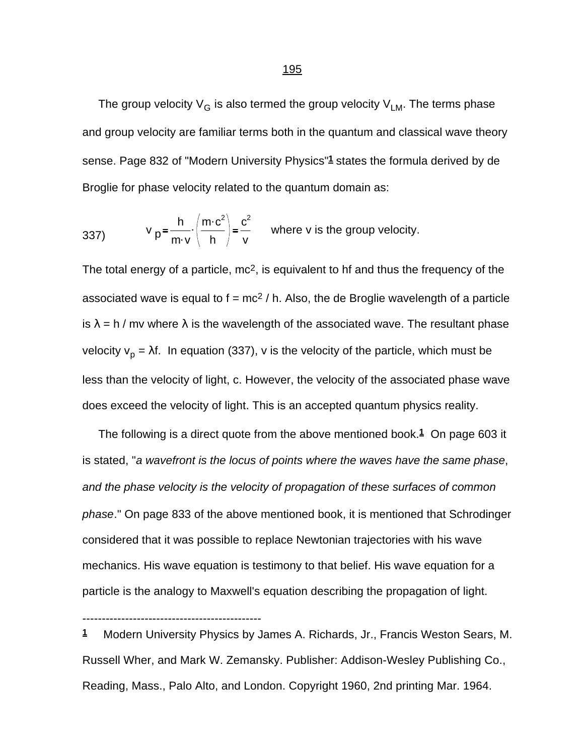The group velocity  $V_G$  is also termed the group velocity  $V_{LM}$ . The terms phase and group velocity are familiar terms both in the quantum and classical wave theory sense. Page 832 of "Modern University Physics"**1** states the formula derived by de Broglie for phase velocity related to the quantum domain as:

337) 
$$
v_p = \frac{h}{m \cdot v} \cdot \left(\frac{m \cdot c^2}{h}\right) = \frac{c^2}{v}
$$
 where v is the group velocity.

The total energy of a particle, mc<sup>2</sup>, is equivalent to hf and thus the frequency of the associated wave is equal to  $f = mc^2 / h$ . Also, the de Broglie wavelength of a particle is  $\lambda = h / mv$  where  $\lambda$  is the wavelength of the associated wave. The resultant phase velocity v<sub>p</sub> = λf. In equation (337), v is the velocity of the particle, which must be less than the velocity of light, c. However, the velocity of the associated phase wave does exceed the velocity of light. This is an accepted quantum physics reality.

 The following is a direct quote from the above mentioned book.**1** On page 603 it is stated, "*a wavefront is the locus of points where the waves have the same phase*, *and the phase velocity is the velocity of propagation of these surfaces of common phase*." On page 833 of the above mentioned book, it is mentioned that Schrodinger considered that it was possible to replace Newtonian trajectories with his wave mechanics. His wave equation is testimony to that belief. His wave equation for a particle is the analogy to Maxwell's equation describing the propagation of light.

**1** Modern University Physics by James A. Richards, Jr., Francis Weston Sears, M. Russell Wher, and Mark W. Zemansky. Publisher: Addison-Wesley Publishing Co., Reading, Mass., Palo Alto, and London. Copyright 1960, 2nd printing Mar. 1964.

----------------------------------------------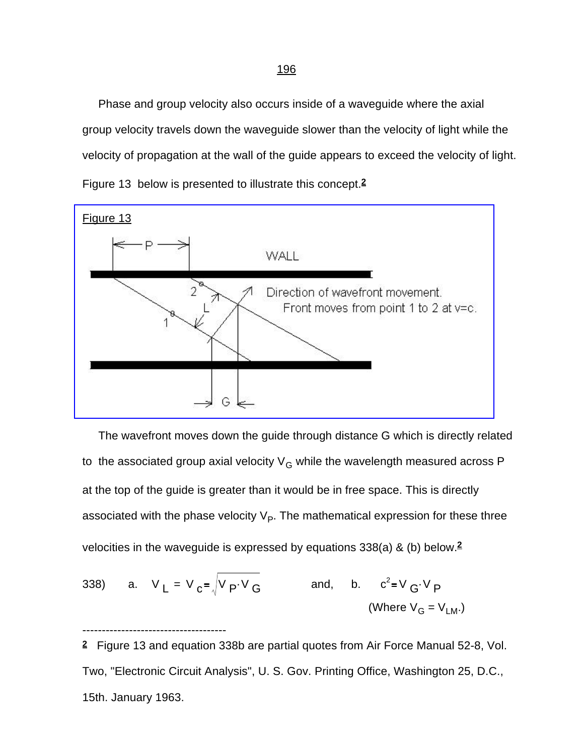Phase and group velocity also occurs inside of a waveguide where the axial group velocity travels down the waveguide slower than the velocity of light while the velocity of propagation at the wall of the guide appears to exceed the velocity of light. Figure 13 below is presented to illustrate this concept.**2**

[Figure 13](#page-0-0)



 The wavefront moves down the guide through distance G which is directly related to the associated group axial velocity  $V_G$  while the wavelength measured across P at the top of the guide is greater than it would be in free space. This is directly associated with the phase velocity  $\vee_{\mathsf{P}}$ . The mathematical expression for these three velocities in the waveguide is expressed by equations 338(a) & (b) below.**<sup>2</sup>**

338) a. 
$$
V_L = V_C = \sqrt{V_P \cdot V_G}
$$
 and, b.  $c^2 = V_G \cdot V_P$   
(Where  $V_G = V_{LM}$ .)

-------------------------------------

**2** Figure 13 and equation 338b are partial quotes from Air Force Manual 52-8, Vol. Two, "Electronic Circuit Analysis", U. S. Gov. Printing Office, Washington 25, D.C., 15th. January 1963.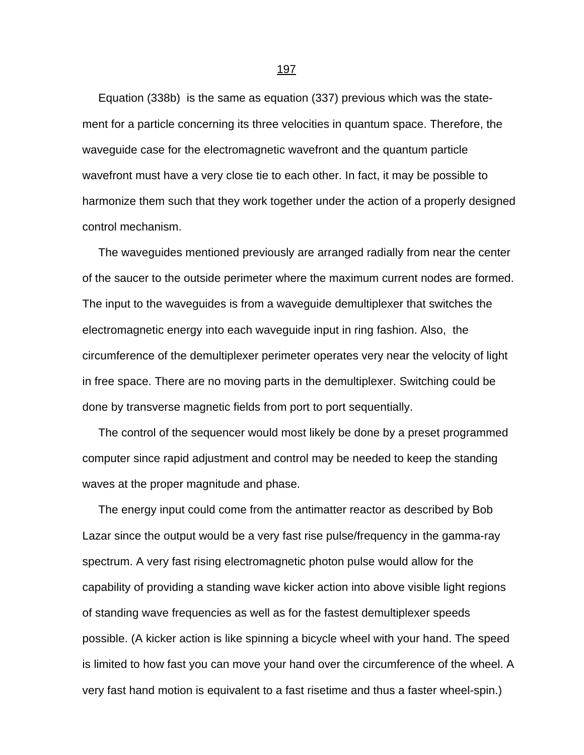Equation (338b) is the same as equation (337) previous which was the statement for a particle concerning its three velocities in quantum space. Therefore, the waveguide case for the electromagnetic wavefront and the quantum particle wavefront must have a very close tie to each other. In fact, it may be possible to harmonize them such that they work together under the action of a properly designed control mechanism.

 The waveguides mentioned previously are arranged radially from near the center of the saucer to the outside perimeter where the maximum current nodes are formed. The input to the waveguides is from a waveguide demultiplexer that switches the electromagnetic energy into each waveguide input in ring fashion. Also, the circumference of the demultiplexer perimeter operates very near the velocity of light in free space. There are no moving parts in the demultiplexer. Switching could be done by transverse magnetic fields from port to port sequentially.

 The control of the sequencer would most likely be done by a preset programmed computer since rapid adjustment and control may be needed to keep the standing waves at the proper magnitude and phase.

 The energy input could come from the antimatter reactor as described by Bob Lazar since the output would be a very fast rise pulse/frequency in the gamma-ray spectrum. A very fast rising electromagnetic photon pulse would allow for the capability of providing a standing wave kicker action into above visible light regions of standing wave frequencies as well as for the fastest demultiplexer speeds possible. (A kicker action is like spinning a bicycle wheel with your hand. The speed is limited to how fast you can move your hand over the circumference of the wheel. A very fast hand motion is equivalent to a fast risetime and thus a faster wheel-spin.)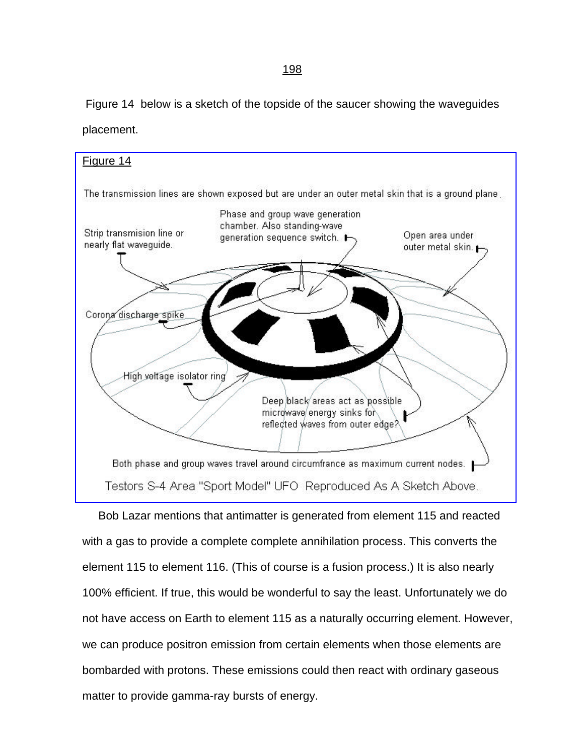Figure 14 below is a sketch of the topside of the saucer showing the waveguides placement.

## [Figure 14](#page-0-0)

The transmission lines are shown exposed but are under an outer metal skin that is a ground plane



Both phase and group waves travel around circumfrance as maximum current nodes. Testors S-4 Area "Sport Model" UFO Reproduced As A Sketch Above.

 Bob Lazar mentions that antimatter is generated from element 115 and reacted with a gas to provide a complete complete annihilation process. This converts the element 115 to element 116. (This of course is a fusion process.) It is also nearly 100% efficient. If true, this would be wonderful to say the least. Unfortunately we do not have access on Earth to element 115 as a naturally occurring element. However, we can produce positron emission from certain elements when those elements are bombarded with protons. These emissions could then react with ordinary gaseous matter to provide gamma-ray bursts of energy.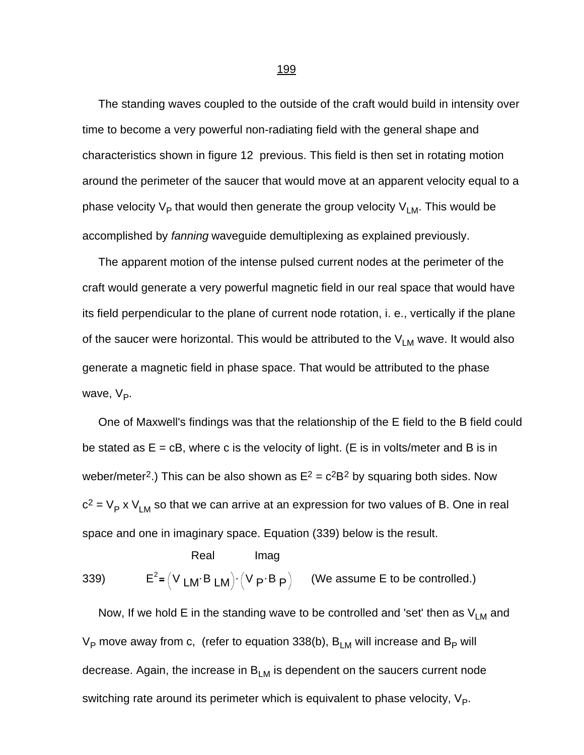The standing waves coupled to the outside of the craft would build in intensity over time to become a very powerful non-radiating field with the general shape and characteristics shown in figure 12 previous. This field is then set in rotating motion around the perimeter of the saucer that would move at an apparent velocity equal to a phase velocity  $\mathsf{V}_\mathsf{P}$  that would then generate the group velocity  $\mathsf{V}_\mathsf{LM}.$  This would be accomplished by *fanning* waveguide demultiplexing as explained previously.

 The apparent motion of the intense pulsed current nodes at the perimeter of the craft would generate a very powerful magnetic field in our real space that would have its field perpendicular to the plane of current node rotation, i. e., vertically if the plane of the saucer were horizontal. This would be attributed to the  $V_{LM}$  wave. It would also generate a magnetic field in phase space. That would be attributed to the phase wave, V<sub>P</sub>.

 One of Maxwell's findings was that the relationship of the E field to the B field could be stated as  $E = cB$ , where c is the velocity of light. (E is in volts/meter and B is in weber/meter<sup>2</sup>.) This can be also shown as  $E^2 = c^2B^2$  by squaring both sides. Now  $c^2 = V_P$  x  $V_{LM}$  so that we can arrive at an expression for two values of B. One in real space and one in imaginary space. Equation (339) below is the result.

Real Imag  $339$  $e^2 = (V \text{ L} \text{M} \cdot B \text{ L} \text{M}) \cdot (V \text{ P} \cdot \text{B} \text{ P})$  (We assume E to be controlled.)

Now, If we hold E in the standing wave to be controlled and 'set' then as  $V_{LM}$  and V<sub>P</sub> move away from c, (refer to equation 338(b),  $\mathsf{B}_{\mathsf{LM}}$  will increase and  $\mathsf{B}_{\mathsf{P}}$  will decrease. Again, the increase in  $B_{LM}$  is dependent on the saucers current node switching rate around its perimeter which is equivalent to phase velocity,  $\mathsf{V}_{\mathsf{P}}.$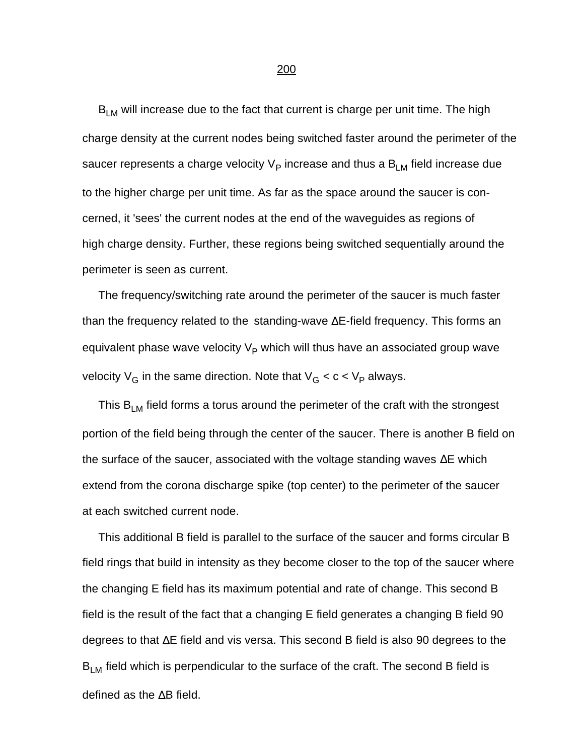$B_{LM}$  will increase due to the fact that current is charge per unit time. The high charge density at the current nodes being switched faster around the perimeter of the saucer represents a charge velocity  $\vee_{\mathsf{P}}$  increase and thus a  $\mathsf{B}_\mathsf{LM}$  field increase due to the higher charge per unit time. As far as the space around the saucer is concerned, it 'sees' the current nodes at the end of the waveguides as regions of high charge density. Further, these regions being switched sequentially around the perimeter is seen as current.

 The frequency/switching rate around the perimeter of the saucer is much faster than the frequency related to the standing-wave ΔE-field frequency. This forms an equivalent phase wave velocity  $\mathsf{V}_\mathsf{P}$  which will thus have an associated group wave velocity V<sub>G</sub> in the same direction. Note that V<sub>G</sub> < c < V<sub>P</sub> always.

This  $B_{LM}$  field forms a torus around the perimeter of the craft with the strongest portion of the field being through the center of the saucer. There is another B field on the surface of the saucer, associated with the voltage standing waves ΔE which extend from the corona discharge spike (top center) to the perimeter of the saucer at each switched current node.

 This additional B field is parallel to the surface of the saucer and forms circular B field rings that build in intensity as they become closer to the top of the saucer where the changing E field has its maximum potential and rate of change. This second B field is the result of the fact that a changing E field generates a changing B field 90 degrees to that ΔE field and vis versa. This second B field is also 90 degrees to the  $B_{LM}$  field which is perpendicular to the surface of the craft. The second B field is defined as the ΔB field.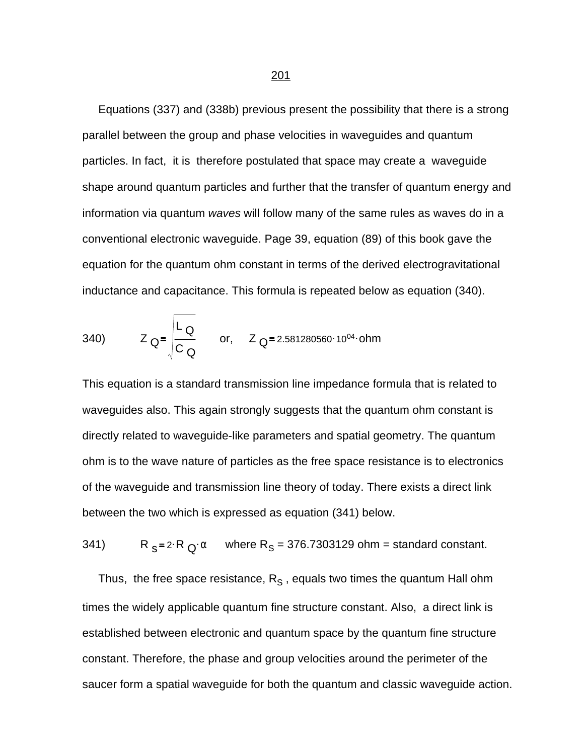Equations (337) and (338b) previous present the possibility that there is a strong parallel between the group and phase velocities in waveguides and quantum particles. In fact, it is therefore postulated that space may create a waveguide shape around quantum particles and further that the transfer of quantum energy and information via quantum *waves* will follow many of the same rules as waves do in a conventional electronic waveguide. Page 39, equation (89) of this book gave the equation for the quantum ohm constant in terms of the derived electrogravitational inductance and capacitance. This formula is repeated below as equation (340).

340) 
$$
Z_Q = \begin{vmatrix} L_Q & \text{or,} & Z_Q = 2.581280560 \cdot 10^{04} \cdot \text{ohm} \\ C_Q & \text{or,} & Z_Q = 2.581280560 \cdot 10^{04} \cdot \text{ohm} \end{vmatrix}
$$

This equation is a standard transmission line impedance formula that is related to waveguides also. This again strongly suggests that the quantum ohm constant is directly related to waveguide-like parameters and spatial geometry. The quantum ohm is to the wave nature of particles as the free space resistance is to electronics of the waveguide and transmission line theory of today. There exists a direct link between the two which is expressed as equation (341) below.

 $341)$ 2·R  $_{\text{Q}}$ · $\alpha$  where R<sub>S</sub> = 376.7303129 ohm = standard constant.

Thus, the free space resistance,  $R_S$  , equals two times the quantum Hall ohm times the widely applicable quantum fine structure constant. Also, a direct link is established between electronic and quantum space by the quantum fine structure constant. Therefore, the phase and group velocities around the perimeter of the saucer form a spatial waveguide for both the quantum and classic waveguide action.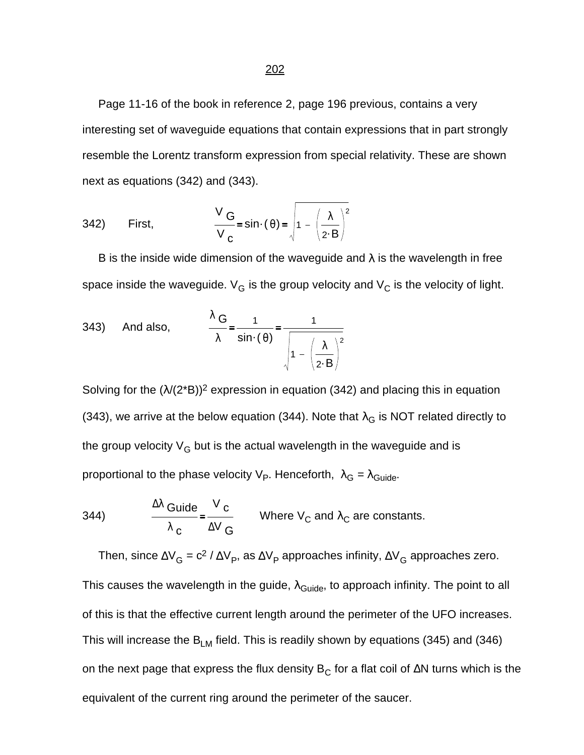Page 11-16 of the book in reference 2, page 196 previous, contains a very interesting set of waveguide equations that contain expressions that in part strongly resemble the Lorentz transform expression from special relativity. These are shown next as equations (342) and (343).

342) First, 
$$
\frac{V_{G}}{V_{C}} = \sin \cdot (\theta) = \sqrt{1 - (\frac{\lambda}{2 \cdot B})^{2}}
$$

B is the inside wide dimension of the waveguide and  $\lambda$  is the wavelength in free space inside the waveguide.  $V_G$  is the group velocity and  $V_G$  is the velocity of light.

343) And also, 
$$
\frac{\lambda G}{\lambda} = \frac{1}{\sin \cdot (\theta)} = \frac{1}{\sqrt{1 - (\frac{\lambda}{2 \cdot B})^2}}
$$

Solving for the  $(\lambda/(2^*B))^2$  expression in equation (342) and placing this in equation (343), we arrive at the below equation (344). Note that  $\lambda_G$  is NOT related directly to the group velocity  $V_G$  but is the actual wavelength in the waveguide and is proportional to the phase velocity V<sub>P</sub>. Henceforth,  $\lambda_{\mathsf{G}}$  =  $\lambda_{\mathsf{Guide}}.$ 

344) 
$$
\frac{\Delta \lambda \text{ Guide}}{\lambda \text{ c}} = \frac{V \text{ c}}{\Delta V \text{ G}}
$$
 Where V<sub>C</sub> and  $\lambda_C$  are constants.

Then, since  $\Delta V_G = c^2 / \Delta V_P$ , as  $\Delta V_P$  approaches infinity,  $\Delta V_G$  approaches zero. This causes the wavelength in the guide,  $\lambda_{\text{Guide}}$ , to approach infinity. The point to all of this is that the effective current length around the perimeter of the UFO increases. This will increase the  $B_{LM}$  field. This is readily shown by equations (345) and (346) on the next page that express the flux density  $B_C$  for a flat coil of  $\Delta N$  turns which is the equivalent of the current ring around the perimeter of the saucer.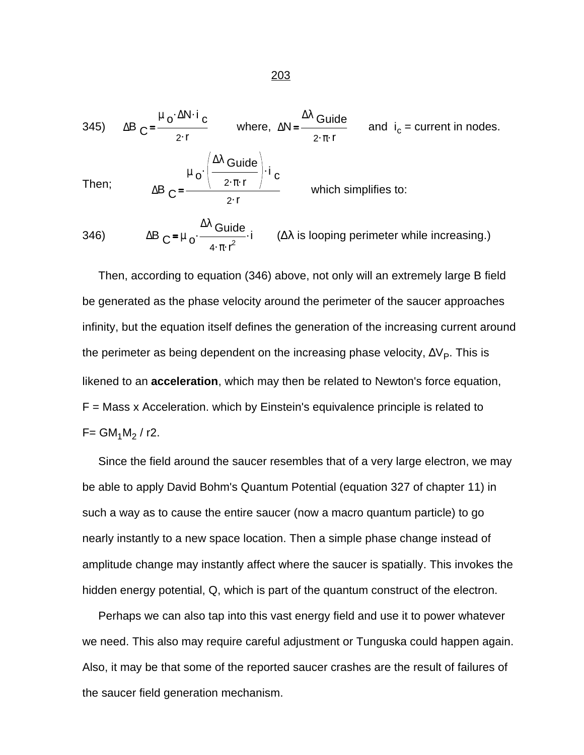345) 
$$
\Delta B_C = \frac{\mu_0 \cdot \Delta N \cdot i_C}{2 \cdot r}
$$
 where, 
$$
\Delta N = \frac{\Delta \lambda \text{ Guide}}{2 \cdot \pi \cdot r}
$$
 and 
$$
i_c = \text{current in nodes.}
$$
  
Then; 
$$
\Delta B_C = \frac{\mu_0 \cdot \left(\frac{\Delta \lambda \text{ Guide}}{2 \cdot \pi \cdot r}\right) \cdot i_C}{2 \cdot r}
$$
 which simplifies to:

346)  $\Delta B C = \mu_0 \frac{d \mu_0}{dt^2}$  $^{\Delta \lambda}$  Guide  $4 \cdot \pi \cdot r^2$  $(Δλ$  is looping perimeter while increasing.)

 Then, according to equation (346) above, not only will an extremely large B field be generated as the phase velocity around the perimeter of the saucer approaches infinity, but the equation itself defines the generation of the increasing current around the perimeter as being dependent on the increasing phase velocity,  $\Delta V_{\text{P}}$ . This is likened to an **acceleration**, which may then be related to Newton's force equation, F = Mass x Acceleration. which by Einstein's equivalence principle is related to  $F = GM_1M_2 / r2$ .

 Since the field around the saucer resembles that of a very large electron, we may be able to apply David Bohm's Quantum Potential (equation 327 of chapter 11) in such a way as to cause the entire saucer (now a macro quantum particle) to go nearly instantly to a new space location. Then a simple phase change instead of amplitude change may instantly affect where the saucer is spatially. This invokes the hidden energy potential, Q, which is part of the quantum construct of the electron.

 Perhaps we can also tap into this vast energy field and use it to power whatever we need. This also may require careful adjustment or Tunguska could happen again. Also, it may be that some of the reported saucer crashes are the result of failures of the saucer field generation mechanism.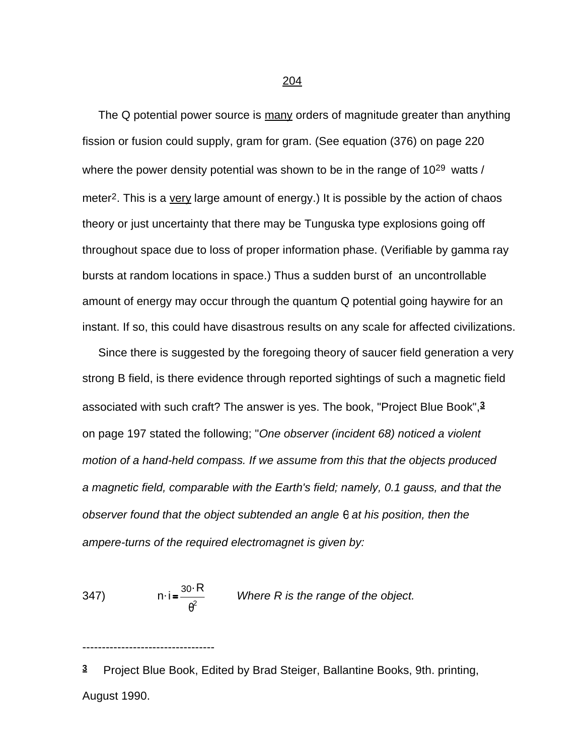204

The Q potential power source is many orders of magnitude greater than anything fission or fusion could supply, gram for gram. (See equation (376) on page 220 where the power density potential was shown to be in the range of 10<sup>29</sup> watts / meter<sup>2</sup>. This is a very large amount of energy.) It is possible by the action of chaos theory or just uncertainty that there may be Tunguska type explosions going off throughout space due to loss of proper information phase. (Verifiable by gamma ray bursts at random locations in space.) Thus a sudden burst of an uncontrollable amount of energy may occur through the quantum Q potential going haywire for an instant. If so, this could have disastrous results on any scale for affected civilizations.

 Since there is suggested by the foregoing theory of saucer field generation a very strong B field, is there evidence through reported sightings of such a magnetic field associated with such craft? The answer is yes. The book, "Project Blue Book",**3** on page 197 stated the following; "*One observer (incident 68) noticed a violent motion of a hand-held compass. If we assume from this that the objects produced a magnetic field, comparable with the Earth's field; namely, 0.1 gauss, and that the observer found that the object subtended an angle q at his position, then the ampere-turns of the required electromagnet is given by:*

347) n. i  $30 \cdot R$  $\frac{\partial^2 K}{\partial \theta^2}$  Where R is the range of the object.

----------------------------------

**3** Project Blue Book, Edited by Brad Steiger, Ballantine Books, 9th. printing, August 1990.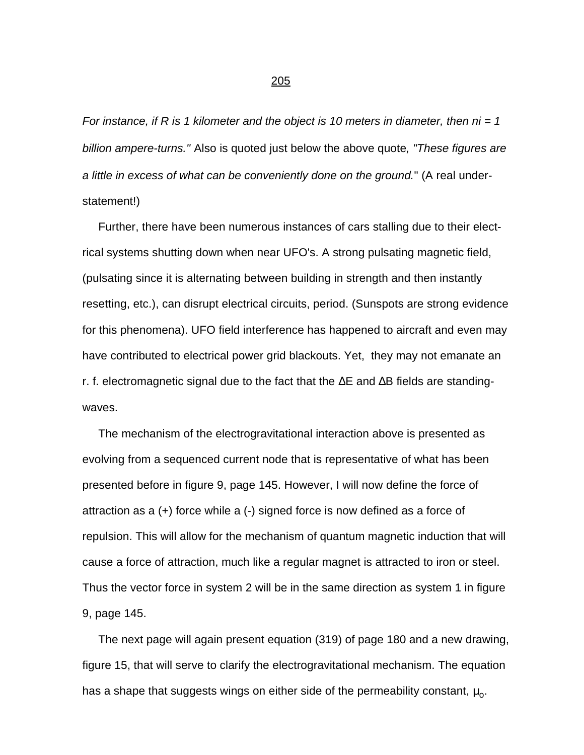*For instance, if R is 1 kilometer and the object is 10 meters in diameter, then ni = 1 billion ampere-turns."* Also is quoted just below the above quote*, "These figures are a little in excess of what can be conveniently done on the ground.*" (A real understatement!)

 Further, there have been numerous instances of cars stalling due to their electrical systems shutting down when near UFO's. A strong pulsating magnetic field, (pulsating since it is alternating between building in strength and then instantly resetting, etc.), can disrupt electrical circuits, period. (Sunspots are strong evidence for this phenomena). UFO field interference has happened to aircraft and even may have contributed to electrical power grid blackouts. Yet, they may not emanate an r. f. electromagnetic signal due to the fact that the  $\Delta E$  and  $\Delta B$  fields are standingwaves.

 The mechanism of the electrogravitational interaction above is presented as evolving from a sequenced current node that is representative of what has been presented before in figure 9, page 145. However, I will now define the force of attraction as a (+) force while a (-) signed force is now defined as a force of repulsion. This will allow for the mechanism of quantum magnetic induction that will cause a force of attraction, much like a regular magnet is attracted to iron or steel. Thus the vector force in system 2 will be in the same direction as system 1 in figure 9, page 145.

 The next page will again present equation (319) of page 180 and a new drawing, figure 15, that will serve to clarify the electrogravitational mechanism. The equation has a shape that suggests wings on either side of the permeability constant,  $\mu_{o}$ .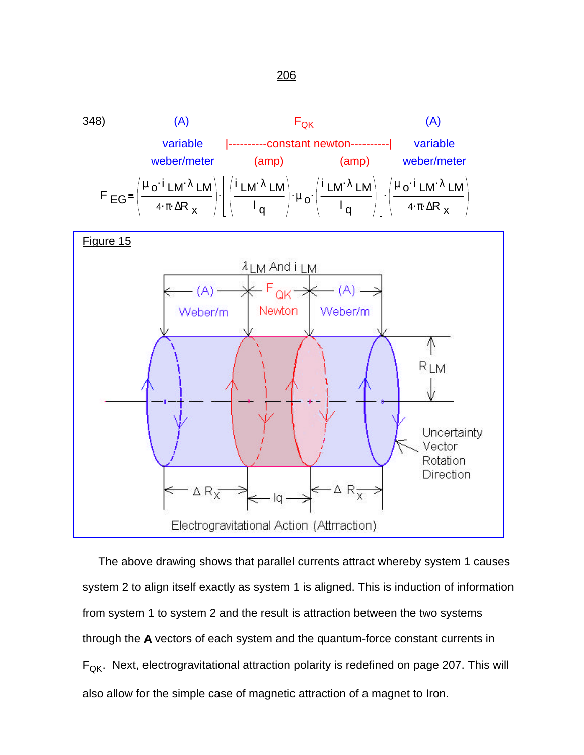

[Figure 15](#page-0-0)



 The above drawing shows that parallel currents attract whereby system 1 causes system 2 to align itself exactly as system 1 is aligned. This is induction of information from system 1 to system 2 and the result is attraction between the two systems through the **A** vectors of each system and the quantum-force constant currents in  $F_{\text{QK}}$ . Next, electrogravitational attraction polarity is redefined on page 207. This will also allow for the simple case of magnetic attraction of a magnet to Iron.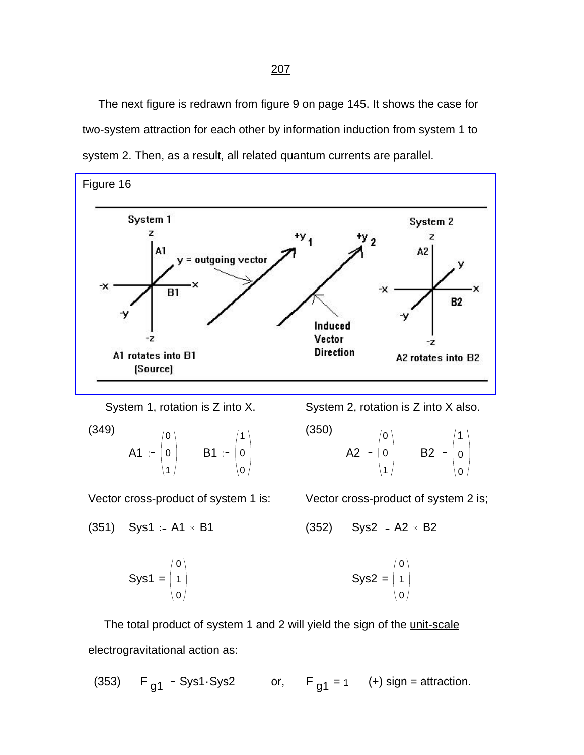The next figure is redrawn from figure 9 on page 145. It shows the case for two-system attraction for each other by information induction from system 1 to system 2. Then, as a result, all related quantum currents are parallel.

[Figure 16](#page-0-0)



System 1, rotation is Z into X. System 2, rotation is Z into X also.

$$
\begin{pmatrix}\n(349) \\
A1 & \coloneqq \begin{pmatrix} 0 \\ 0 \\ 1 \end{pmatrix} & B1 & \coloneqq \begin{pmatrix} 1 \\ 0 \\ 0 \end{pmatrix}\n\end{pmatrix}
$$

 $(350)$ 

$$
A2 := \begin{pmatrix} 0 \\ 0 \\ 1 \end{pmatrix} \qquad B2 := \begin{pmatrix} 1 \\ 0 \\ 0 \end{pmatrix}
$$

Vector cross-product of system 1 is: Vector cross-product of system 2 is;

0 1 0

$$
(351) \quad Sys1 := A1 \times B1 \qquad (352) \quad Sys2 := A2 \times B2
$$

$$
Sys1 = \begin{pmatrix} 0 \\ 1 \\ 0 \end{pmatrix}
$$
  $Sys2 =$ 

The total product of system 1 and 2 will yield the sign of the unit-scale electrogravitational action as:

(353) <sup>F</sup> g1 Sys1.Sys2 or, <sup>F</sup> <sup>=</sup> g1 <sup>1</sup> (+) sign = attraction.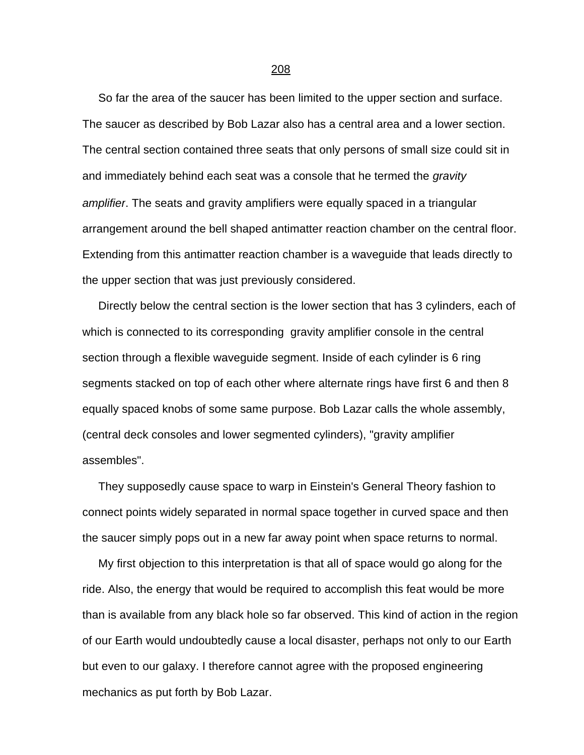So far the area of the saucer has been limited to the upper section and surface. The saucer as described by Bob Lazar also has a central area and a lower section. The central section contained three seats that only persons of small size could sit in and immediately behind each seat was a console that he termed the *gravity amplifier*. The seats and gravity amplifiers were equally spaced in a triangular arrangement around the bell shaped antimatter reaction chamber on the central floor. Extending from this antimatter reaction chamber is a waveguide that leads directly to the upper section that was just previously considered.

 Directly below the central section is the lower section that has 3 cylinders, each of which is connected to its corresponding gravity amplifier console in the central section through a flexible waveguide segment. Inside of each cylinder is 6 ring segments stacked on top of each other where alternate rings have first 6 and then 8 equally spaced knobs of some same purpose. Bob Lazar calls the whole assembly, (central deck consoles and lower segmented cylinders), "gravity amplifier assembles".

 They supposedly cause space to warp in Einstein's General Theory fashion to connect points widely separated in normal space together in curved space and then the saucer simply pops out in a new far away point when space returns to normal.

 My first objection to this interpretation is that all of space would go along for the ride. Also, the energy that would be required to accomplish this feat would be more than is available from any black hole so far observed. This kind of action in the region of our Earth would undoubtedly cause a local disaster, perhaps not only to our Earth but even to our galaxy. I therefore cannot agree with the proposed engineering mechanics as put forth by Bob Lazar.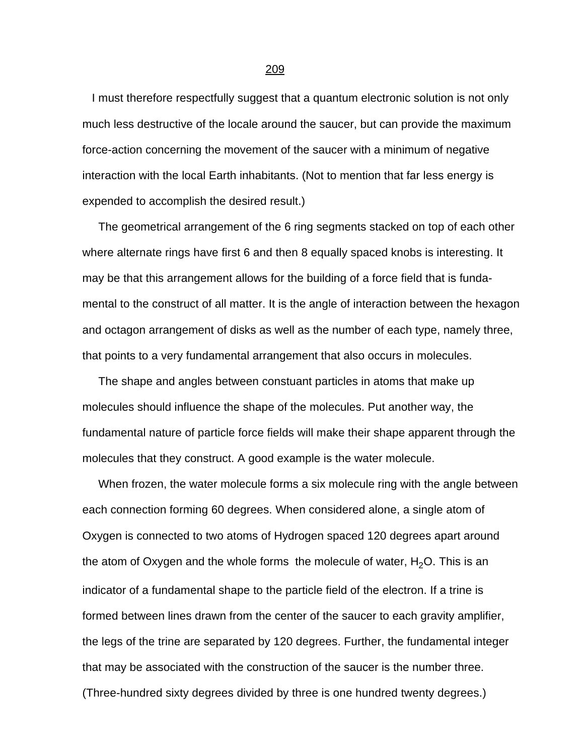I must therefore respectfully suggest that a quantum electronic solution is not only much less destructive of the locale around the saucer, but can provide the maximum force-action concerning the movement of the saucer with a minimum of negative interaction with the local Earth inhabitants. (Not to mention that far less energy is expended to accomplish the desired result.)

 The geometrical arrangement of the 6 ring segments stacked on top of each other where alternate rings have first 6 and then 8 equally spaced knobs is interesting. It may be that this arrangement allows for the building of a force field that is fundamental to the construct of all matter. It is the angle of interaction between the hexagon and octagon arrangement of disks as well as the number of each type, namely three, that points to a very fundamental arrangement that also occurs in molecules.

 The shape and angles between constuant particles in atoms that make up molecules should influence the shape of the molecules. Put another way, the fundamental nature of particle force fields will make their shape apparent through the molecules that they construct. A good example is the water molecule.

 When frozen, the water molecule forms a six molecule ring with the angle between each connection forming 60 degrees. When considered alone, a single atom of Oxygen is connected to two atoms of Hydrogen spaced 120 degrees apart around the atom of Oxygen and the whole forms the molecule of water,  $H_2O$ . This is an indicator of a fundamental shape to the particle field of the electron. If a trine is formed between lines drawn from the center of the saucer to each gravity amplifier, the legs of the trine are separated by 120 degrees. Further, the fundamental integer that may be associated with the construction of the saucer is the number three. (Three-hundred sixty degrees divided by three is one hundred twenty degrees.)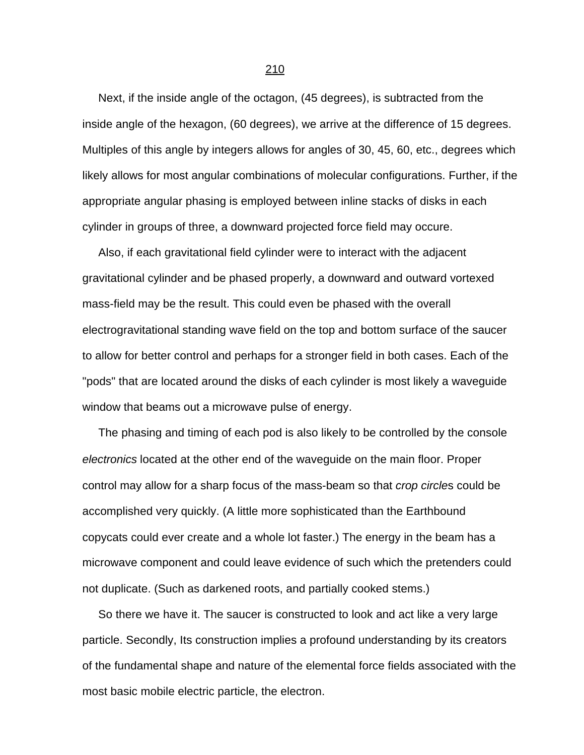Next, if the inside angle of the octagon, (45 degrees), is subtracted from the inside angle of the hexagon, (60 degrees), we arrive at the difference of 15 degrees. Multiples of this angle by integers allows for angles of 30, 45, 60, etc., degrees which likely allows for most angular combinations of molecular configurations. Further, if the appropriate angular phasing is employed between inline stacks of disks in each cylinder in groups of three, a downward projected force field may occure.

 Also, if each gravitational field cylinder were to interact with the adjacent gravitational cylinder and be phased properly, a downward and outward vortexed mass-field may be the result. This could even be phased with the overall electrogravitational standing wave field on the top and bottom surface of the saucer to allow for better control and perhaps for a stronger field in both cases. Each of the "pods" that are located around the disks of each cylinder is most likely a waveguide window that beams out a microwave pulse of energy.

 The phasing and timing of each pod is also likely to be controlled by the console *electronics* located at the other end of the waveguide on the main floor. Proper control may allow for a sharp focus of the mass-beam so that *crop circle*s could be accomplished very quickly. (A little more sophisticated than the Earthbound copycats could ever create and a whole lot faster.) The energy in the beam has a microwave component and could leave evidence of such which the pretenders could not duplicate. (Such as darkened roots, and partially cooked stems.)

 So there we have it. The saucer is constructed to look and act like a very large particle. Secondly, Its construction implies a profound understanding by its creators of the fundamental shape and nature of the elemental force fields associated with the most basic mobile electric particle, the electron.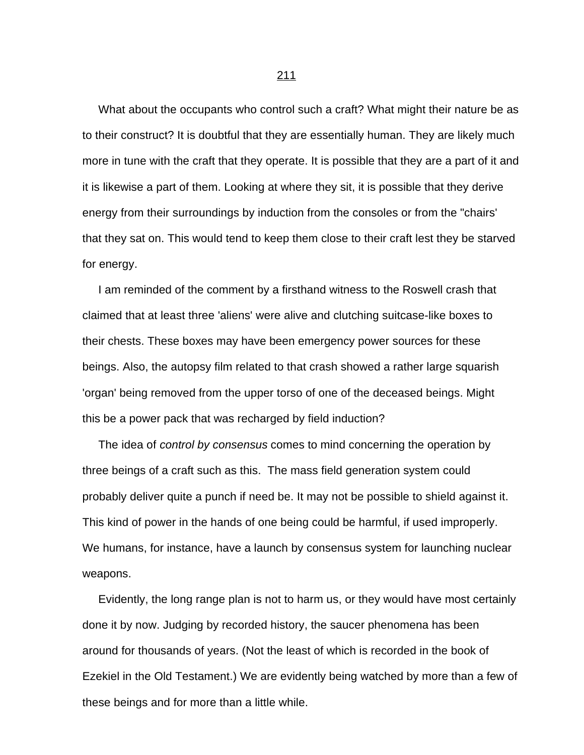What about the occupants who control such a craft? What might their nature be as to their construct? It is doubtful that they are essentially human. They are likely much more in tune with the craft that they operate. It is possible that they are a part of it and it is likewise a part of them. Looking at where they sit, it is possible that they derive energy from their surroundings by induction from the consoles or from the "chairs' that they sat on. This would tend to keep them close to their craft lest they be starved for energy.

 I am reminded of the comment by a firsthand witness to the Roswell crash that claimed that at least three 'aliens' were alive and clutching suitcase-like boxes to their chests. These boxes may have been emergency power sources for these beings. Also, the autopsy film related to that crash showed a rather large squarish 'organ' being removed from the upper torso of one of the deceased beings. Might this be a power pack that was recharged by field induction?

 The idea of *control by consensus* comes to mind concerning the operation by three beings of a craft such as this. The mass field generation system could probably deliver quite a punch if need be. It may not be possible to shield against it. This kind of power in the hands of one being could be harmful, if used improperly. We humans, for instance, have a launch by consensus system for launching nuclear weapons.

 Evidently, the long range plan is not to harm us, or they would have most certainly done it by now. Judging by recorded history, the saucer phenomena has been around for thousands of years. (Not the least of which is recorded in the book of Ezekiel in the Old Testament.) We are evidently being watched by more than a few of these beings and for more than a little while.